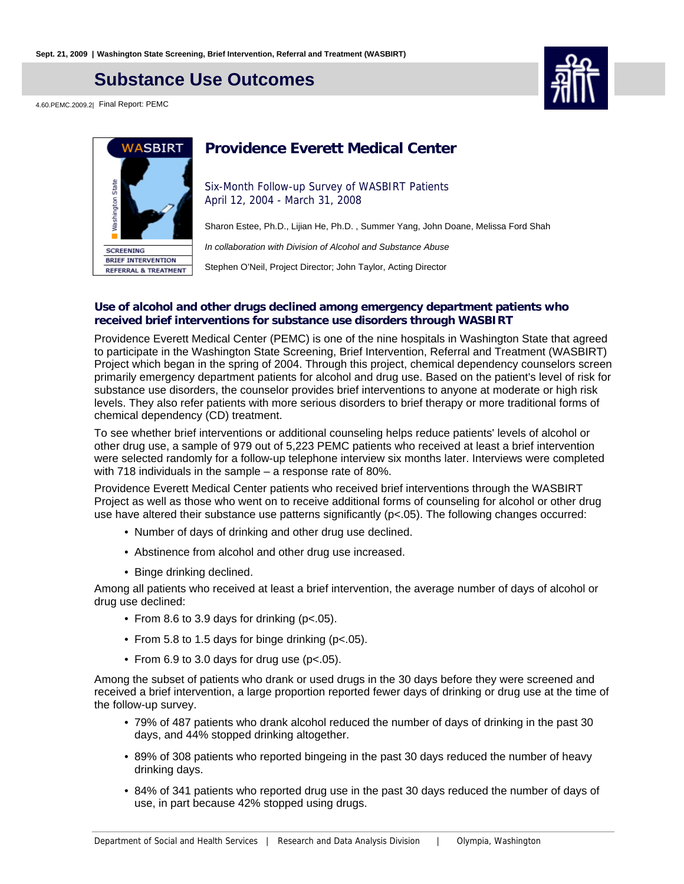## **Substance Use Outcomes**

4.60.PEMC.2009.2| Final Report: PEMC





## **Providence Everett Medical Center**

Six-Month Follow-up Survey of WASBIRT Patients April 12, 2004 - March 31, 2008

Sharon Estee, Ph.D., Lijian He, Ph.D. , Summer Yang, John Doane, Melissa Ford Shah

In collaboration with Division of Alcohol and Substance Abuse

Stephen O'Neil, Project Director; John Taylor, Acting Director

#### **Use of alcohol and other drugs declined among emergency department patients who received brief interventions for substance use disorders through WASBIRT**

Providence Everett Medical Center (PEMC) is one of the nine hospitals in Washington State that agreed to participate in the Washington State Screening, Brief Intervention, Referral and Treatment (WASBIRT) Project which began in the spring of 2004. Through this project, chemical dependency counselors screen primarily emergency department patients for alcohol and drug use. Based on the patient's level of risk for substance use disorders, the counselor provides brief interventions to anyone at moderate or high risk levels. They also refer patients with more serious disorders to brief therapy or more traditional forms of chemical dependency (CD) treatment.

To see whether brief interventions or additional counseling helps reduce patients' levels of alcohol or other drug use, a sample of 979 out of 5,223 PEMC patients who received at least a brief intervention were selected randomly for a follow-up telephone interview six months later. Interviews were completed with 718 individuals in the sample – a response rate of 80%.

Providence Everett Medical Center patients who received brief interventions through the WASBIRT Project as well as those who went on to receive additional forms of counseling for alcohol or other drug use have altered their substance use patterns significantly (p<.05). The following changes occurred:

- Number of days of drinking and other drug use declined.
- Abstinence from alcohol and other drug use increased.
- Binge drinking declined.

Among all patients who received at least a brief intervention, the average number of days of alcohol or drug use declined:

- From 8.6 to 3.9 days for drinking (p<.05).
- From 5.8 to 1.5 days for binge drinking (p<.05).
- From 6.9 to 3.0 days for drug use (p<.05).

Among the subset of patients who drank or used drugs in the 30 days before they were screened and received a brief intervention, a large proportion reported fewer days of drinking or drug use at the time of the follow-up survey.

- 79% of 487 patients who drank alcohol reduced the number of days of drinking in the past 30 days, and 44% stopped drinking altogether.
- 89% of 308 patients who reported bingeing in the past 30 days reduced the number of heavy drinking days.
- 84% of 341 patients who reported drug use in the past 30 days reduced the number of days of use, in part because 42% stopped using drugs.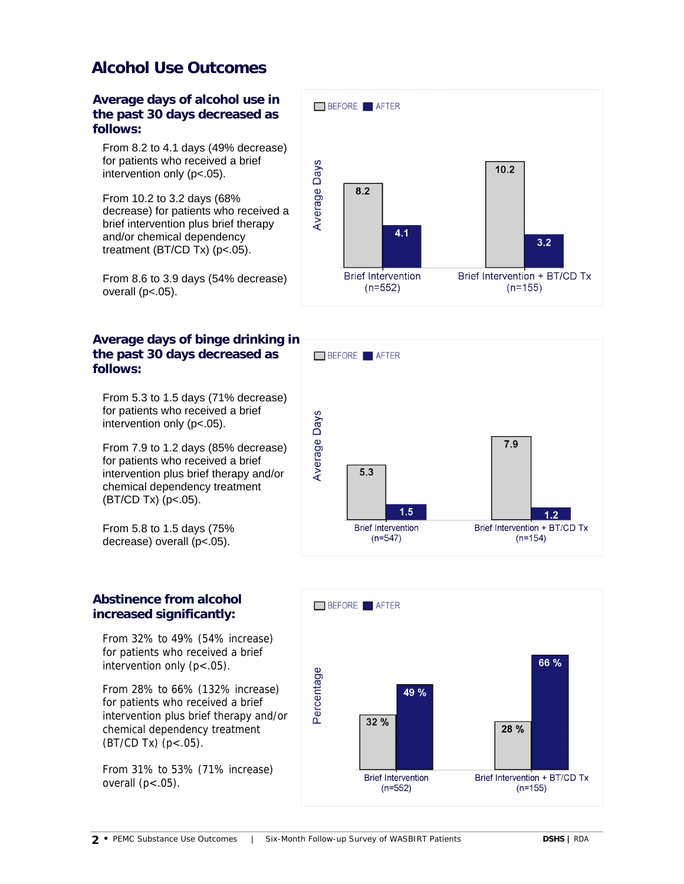## **Alcohol Use Outcomes**

**Average days of alcohol use in the past 30 days decreased as follows:**

From 8.2 to 4.1 days (49% decrease) for patients who received a brief intervention only (p<.05).

From 10.2 to 3.2 days (68% decrease) for patients who received a brief intervention plus brief therapy and/or chemical dependency treatment (BT/CD Tx) (p<.05).

From 8.6 to 3.9 days (54% decrease) overall  $(p<.05)$ .

### **Average days of binge drinking in the past 30 days decreased as follows:**

From 5.3 to 1.5 days (71% decrease) for patients who received a brief intervention only (p<.05).

From 7.9 to 1.2 days (85% decrease) for patients who received a brief intervention plus brief therapy and/or chemical dependency treatment (BT/CD Tx) (p<.05).

From 5.8 to 1.5 days (75% decrease) overall (p<.05).

### **Abstinence from alcohol increased significantly:**

From 32% to 49% (54% increase) for patients who received a brief intervention only  $(p < .05)$ .

From 28% to 66% (132% increase) for patients who received a brief intervention plus brief therapy and/or chemical dependency treatment  $(BT/CD Tx)$   $(p < .05)$ .

From 31% to 53% (71% increase) overall  $(p<.05)$ .





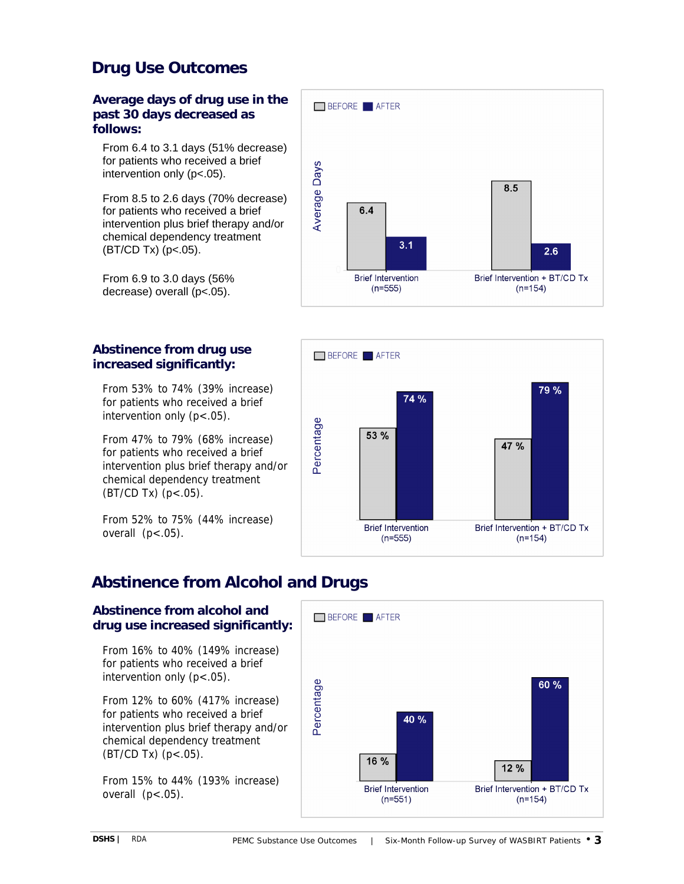# **Drug Use Outcomes**

#### **Average days of drug use in the past 30 days decreased as follows:**

From 6.4 to 3.1 days (51% decrease) for patients who received a brief intervention only (p<.05).

From 8.5 to 2.6 days (70% decrease) for patients who received a brief intervention plus brief therapy and/or chemical dependency treatment  $(BT/CD Tx)$  (p<.05).

From 6.9 to 3.0 days (56% decrease) overall (p<.05).

### **Abstinence from drug use increased significantly:**

From 53% to 74% (39% increase) for patients who received a brief intervention only (p<.05).

From 47% to 79% (68% increase) for patients who received a brief intervention plus brief therapy and/or chemical dependency treatment  $(BT/CD Tx)$   $(p < .05)$ .

From 52% to 75% (44% increase) overall  $(p<.05)$ .





# **Abstinence from Alcohol and Drugs**

### **Abstinence from alcohol and drug use increased significantly:**

From 16% to 40% (149% increase) for patients who received a brief intervention only (p<.05).

From 12% to 60% (417% increase) for patients who received a brief intervention plus brief therapy and/or chemical dependency treatment (BT/CD Tx) (p<.05).

From 15% to 44% (193% increase) overall  $(p<.05)$ .